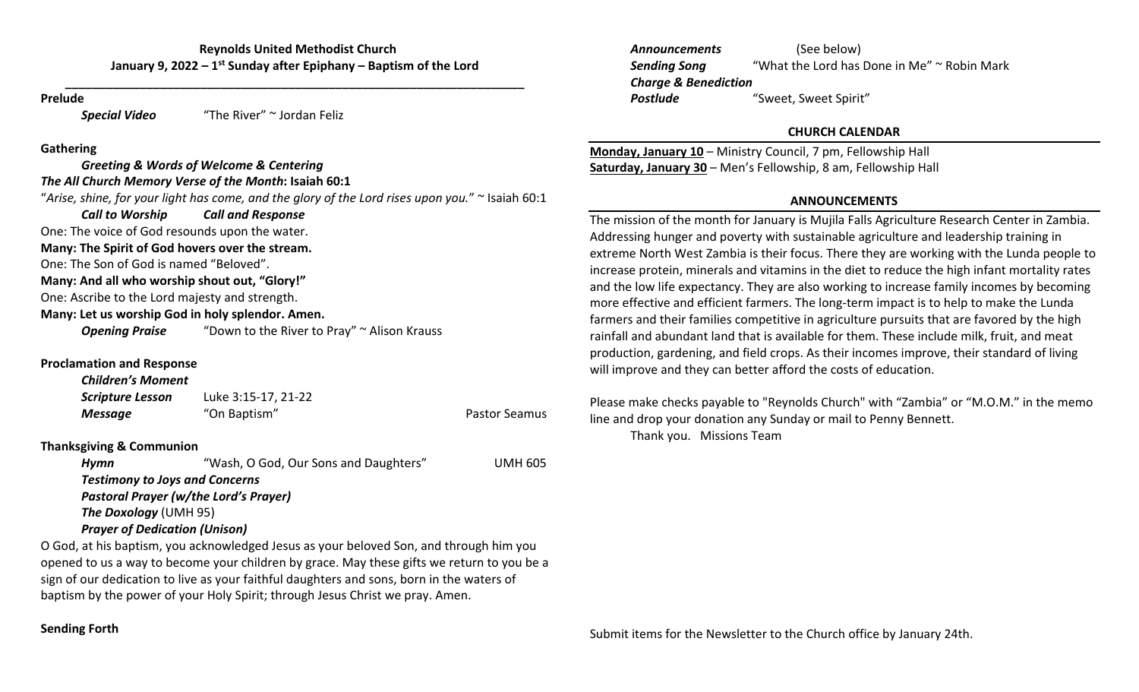**\_\_\_\_\_\_\_\_\_\_\_\_\_\_\_\_\_\_\_\_\_\_\_\_\_\_\_\_\_\_\_\_\_\_\_\_\_\_\_\_\_\_\_\_\_\_\_\_\_\_\_\_\_\_\_\_\_\_\_\_\_\_\_\_\_\_\_\_**

#### **Prelude**

*Special Video* "The River" <sup>~</sup> Jordan Feliz

### **Gathering**

### *Greeting & Words of Welcome & Centering The All Church Memory Verse of the Month***: Isaiah 60:1** "*Arise, shine, for your light has come, and the glory of the Lord rises upon you.*" <sup>~</sup> Isaiah 60:1 *Call to* $Call$  *and Response* One: The voice of God resounds upon the water. **Many: The Spirit of God hovers over the stream.** One: The Son of God is named "Beloved". **Many: And all who worship shout out, "Glory!"**

One: Ascribe to the Lord majesty and strength.

**Many: Let us worship God in holy splendor. Amen.**

**Opening Praise** "Down to the River to Pray" ~ Alison Krauss

## **Proclamation and Response**

### *Children's Moment*

| Scripture Lesson | Luke 3:15-17, 21-22 |                      |
|------------------|---------------------|----------------------|
| Message          | "On Baptism"        | <b>Pastor Seamus</b> |

## **Thanksgiving & Communion**

| Hvmn                                 | "Wash, O God, Our Sons and Daughters"        | <b>UMH 605</b> |
|--------------------------------------|----------------------------------------------|----------------|
|                                      | <b>Testimony to Joys and Concerns</b>        |                |
|                                      | <b>Pastoral Prayer (w/the Lord's Prayer)</b> |                |
| <b>The Doxology (UMH 95)</b>         |                                              |                |
| <b>Prayer of Dedication (Unison)</b> |                                              |                |

O God, at his baptism, you acknowledged Jesus as your beloved Son, and through him you opened to us <sup>a</sup> way to become your children by grace. May these gifts we return to you be <sup>a</sup> sign of our dedication to live as your faithful daughters and sons, born in the waters of baptism by the power of your Holy Spirit; through Jesus Christ we pray. Amen.

*Announcements* (See below) **Sending Song** "What the Lord has Done in Me" ~ Robin Mark *Charge & Benediction Postlude*"Sweet, Sweet Spirit"

### **CHURCH CALENDAR**

**Monday, January 10** – Ministry Council, 7 pm, Fellowship Hall **Saturday, January 30** – Men's Fellowship, 8 am, Fellowship Hall

# **ANNOUNCEMENTS**

The mission of the month for January is Mujila Falls Agriculture Research Center in Zambia. Addressing hunger and poverty with sustainable agriculture and leadership training in extreme North West Zambia is their focus. There they are working with the Lunda people to increase protein, minerals and vitamins in the diet to reduce the high infant mortality rates and the low life expectancy. They are also working to increase family incomes by becoming more effective and efficient farmers. The long‐term impact is to help to make the Lunda farmers and their families competitive in agriculture pursuits that are favored by the high rainfall and abundant land that is available for them. These include milk, fruit, and meat production, gardening, and field crops. As their incomes improve, their standard of living will improve and they can better afford the costs of education.

Please make checks payable to "Reynolds Church" with "Zambia" or "M.O.M." in the memo line and drop your donation any Sunday or mail to Penny Bennett. Thank you. Missions Team